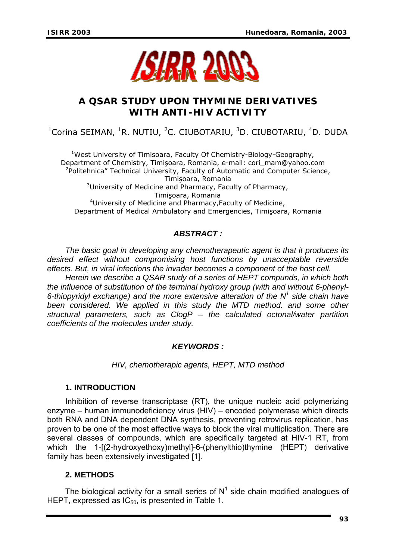

# **A QSAR STUDY UPON THYMINE DERIVATIVES WITH ANTI-HIV ACTIVITY**

<sup>1</sup>Corina SEIMAN, <sup>1</sup>R. NUTIU, <sup>2</sup>C. CIUBOTARIU, <sup>3</sup>D. CIUBOTARIU, <sup>4</sup>D. DUDA

<sup>1</sup>West University of Timisoara, Faculty Of Chemistry-Biology-Geography, Department of Chemistry, Timişoara, Romania, e-mail: cori\_mam@yahoo.com <sup>2</sup>Politehnica" Technical University, Faculty of Automatic and Computer Science, Timişoara, Romania <sup>3</sup>University of Medicine and Pharmacy, Faculty of Pharmacy, Timişoara, Romania 4 University of Medicine and Pharmacy,Faculty of Medicine, Department of Medical Ambulatory and Emergencies, Timişoara, Romania

## *ABSTRACT :*

*The basic goal in developing any chemotherapeutic agent is that it produces its desired effect without compromising host functions by unacceptable reverside effects. But, in viral infections the invader becomes a component of the host cell.* 

*Herein we describe a QSAR study of a series of HEPT compunds, in which both the influence of substitution of the terminal hydroxy group (with and without 6-phenyl-6-thiopyridyl exchange) and the more extensive alteration of the N<sup>1</sup> side chain have*  been considered. We applied in this study the MTD method. and some other *structural parameters, such as ClogP – the calculated octonal/water partition coefficients of the molecules under study.* 

### *KEYWORDS :*

*HIV, chemotherapic agents, HEPT, MTD method* 

### **1. INTRODUCTION**

Inhibition of reverse transcriptase (RT), the unique nucleic acid polymerizing enzyme – human immunodeficiency virus (HIV) – encoded polymerase which directs both RNA and DNA dependent DNA synthesis, preventing retrovirus replication, has proven to be one of the most effective ways to block the viral multiplication. There are several classes of compounds, which are specifically targeted at HIV-1 RT, from which the 1-[(2-hydroxyethoxy)methyl]-6-(phenylthio)thymine (HEPT) derivative family has been extensively investigated [1].

### **2. METHODS**

The biological activity for a small series of  $N<sup>1</sup>$  side chain modified analogues of HEPT, expressed as  $IC_{50}$ , is presented in Table 1.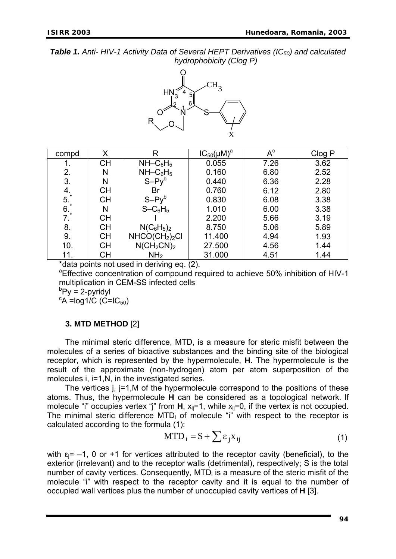**Table 1.** Anti- HIV-1 Activity Data of Several HEPT Derivatives (IC<sub>50</sub>) and calculated *hydrophobicity (Clog P)* 



| compd                                                            | Χ         | R                                      | $IC_{50}(\mu M)^a$ | $A^c$ | Clog P |
|------------------------------------------------------------------|-----------|----------------------------------------|--------------------|-------|--------|
|                                                                  | <b>CH</b> | NH–C <sub>6</sub> H <sub>5</sub>       | 0.055              | 7.26  | 3.62   |
| 2.                                                               | N         | $NH - C6H5$                            | 0.160              | 6.80  | 2.52   |
| 3.                                                               | N         | $S - Py^b$                             | 0.440              | 6.36  | 2.28   |
| 4.                                                               | <b>CH</b> | Br                                     | 0.760              | 6.12  | 2.80   |
| 5 <sup>1</sup>                                                   | <b>CH</b> | $S - Py^b$                             | 0.830              | 6.08  | 3.38   |
| $\begin{array}{c} 6. \\ 7. \end{array}$                          | N         | $S - C_6H_5$                           | 1.010              | 6.00  | 3.38   |
|                                                                  | <b>CH</b> |                                        | 2.200              | 5.66  | 3.19   |
| 8.                                                               | <b>CH</b> | $N(C_6H_5)_2$                          | 8.750              | 5.06  | 5.89   |
| 9.                                                               | <b>CH</b> | NHCO(CH <sub>2</sub> ) <sub>2</sub> Cl | 11.400             | 4.94  | 1.93   |
| 10.                                                              | <b>CH</b> | $N(CH_2CN)_2$                          | 27.500             | 4.56  | 1.44   |
| 11.                                                              | <b>CH</b> | NH <sub>2</sub>                        | 31.000             | 4.51  | 1.44   |
| المواصل المراجعة والمناصر المستقبل المراجع<br>$+1 - 1$<br>$\sim$ |           |                                        |                    |       |        |

data points not used in deriving eq. (2).

<sup>a</sup> Effective concentration of compound required to achieve 50% inhibition of HIV-1 multiplication in CEM-SS infected cells

 ${}^{\text{b}}$ Py = 2-pyridyl

 $\mathrm{c}$ A =log1/C (C=IC<sub>50</sub>)

### **3. MTD METHOD** [2]

The minimal steric difference, MTD, is a measure for steric misfit between the molecules of a series of bioactive substances and the binding site of the biological receptor, which is represented by the hypermolecule, **H**. The hypermolecule is the result of the approximate (non-hydrogen) atom per atom superposition of the molecules i, i=1,N, in the investigated series.

The vertices j,  $j=1,M$  of the hypermolecule correspond to the positions of these atoms. Thus, the hypermolecule **H** can be considered as a topological network. If molecule "i" occupies vertex "j" from  $H$ ,  $x_{ij}=1$ , while  $x_{ij}=0$ , if the vertex is not occupied. The minimal steric difference  $MTD_i$  of molecule "i" with respect to the receptor is calculated according to the formula (1):

$$
MTD_i = S + \sum \varepsilon_j X_{ij}
$$
 (1)

with  $\varepsilon_i$ = -1, 0 or +1 for vertices attributed to the receptor cavity (beneficial), to the exterior (irrelevant) and to the receptor walls (detrimental), respectively; S is the total number of cavity vertices. Consequently, MTD<sub>i</sub> is a measure of the steric misfit of the molecule "i" with respect to the receptor cavity and it is equal to the number of occupied wall vertices plus the number of unoccupied cavity vertices of **H** [3].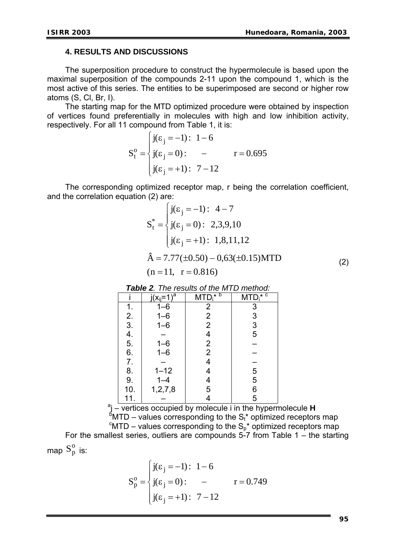#### **4. RESULTS AND DISCUSSIONS**

The superposition procedure to construct the hypermolecule is based upon the maximal superposition of the compounds 2-11 upon the compound 1, which is the most active of this series. The entities to be superimposed are second or higher row atoms (S, Cl, Br, I).

The starting map for the MTD optimized procedure were obtained by inspection of vertices found preferentially in molecules with high and low inhibition activity, respectively. For all 11 compound from Table 1, it is:

$$
S_t^o = \begin{cases} j(\varepsilon_j = -1): 1 - 6 \\ j(\varepsilon_j = 0): -1; 1 - 12 \end{cases} \quad r = 0.695
$$

The corresponding optimized receptor map, r being the correlation coefficient, and the correlation equation (2) are:

$$
S_{t}^{*} = \begin{cases} j(\varepsilon_{j} = -1): 4 - 7 \\ j(\varepsilon_{j} = 0): 2,3,9,10 \\ j(\varepsilon_{j} = +1): 1,8,11,12 \end{cases}
$$
  
\n
$$
\hat{A} = 7.77(\pm 0.50) - 0,63(\pm 0.15) \text{MTD}
$$
  
\n(n = 11, r = 0.816) (2)

*Table 2. The results of the MTD method:* 

|           | $j(x_{ii}=1)^{\overline{a}}$ | $MTD_i^{\overline{\star} b}$ | $MTD_i^{\overline{\star} C}$ |
|-----------|------------------------------|------------------------------|------------------------------|
|           | $1 - 6$                      | $\overline{c}$               |                              |
|           | $1 - 6$                      | $\overline{\mathbf{c}}$      |                              |
| 123456789 | $1 - 6$                      | $\overline{2}$               | 3<br>3<br>3<br>5<br>5        |
|           |                              | 4                            |                              |
|           | $1 - 6$                      | $\frac{2}{2}$                |                              |
|           | $1 - 6$                      |                              |                              |
|           |                              | 4                            |                              |
|           | $1 - 12$                     |                              | $\frac{5}{5}$                |
|           | $1 - 4$                      |                              |                              |
| 10.       | 1, 2, 7, 8                   | 5                            | 6<br>5                       |
| 11.       |                              |                              |                              |

11. – 4 5 aj – vertices occupied by molecule i in the hypermolecule **<sup>H</sup>**  $\mathrm{^{6}MTD}$  – values corresponding to the S<sub>t</sub>\* optimized receptors map  $\mathrm{^{6}MTD}$  – values corresponding to the S<sub>p</sub>\* optimized receptors map For the smallest series, outliers are compounds 5-7 from Table 1 – the starting map  $S_p^o$  is:

$$
S_p^o = \begin{cases} j(\varepsilon_j = -1): 1 - 6 \\ j(\varepsilon_j = 0): - & r = 0.749 \\ j(\varepsilon_j = +1): 7 - 12 \end{cases}
$$